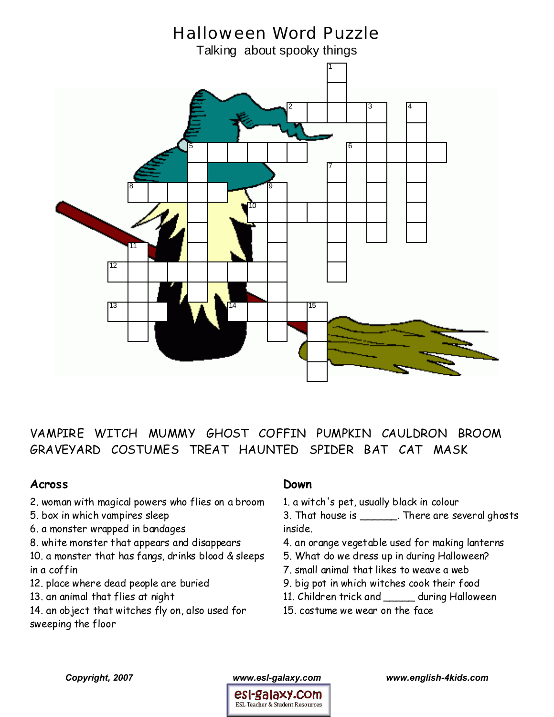

VAMPIRE WITCH MUMMY GHOST COFFIN PUMPKIN CAULDRON BROOM GRAVEYARD COSTUMES TREAT HAUNTED SPIDER BAT CAT MASK

## **Across**

- 2. woman with magical powers who flies on a broom
- 5. box in which vampires sleep
- 6. a monster wrapped in bandages
- 8. white monster that appears and disappears

10. a monster that has fangs, drinks blood & sleeps in a coffin

- 12. place where dead people are buried
- 13. an animal that flies at night
- 14. an object that witches fly on, also used for sweeping the floor

## **Down**

1. a witch's pet, usually black in colour

3. That house is \_\_\_\_\_\_\_. There are several ghosts inside.

- 4. an orange vegetable used for making lanterns
- 5. What do we dress up in during Halloween?
- 7. small animal that likes to weave a web
- 9. big pot in which witches cook their food
- 11. Children trick and \_\_\_\_\_ during Halloween
- 15. costume we wear on the face



*Copyright, 2007 www.esl-galaxy.com www.english-4kids.com*